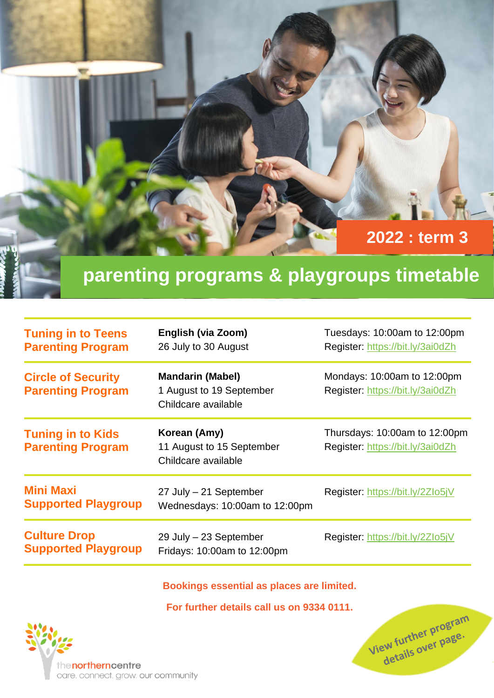

## **parenting programs & playgroups timetable**

| <b>Tuning in to Teens</b><br><b>Parenting Program</b> | English (via Zoom)<br>26 July to 30 August                                 | Tuesdays: 10:00am to 12:00pm<br>Register: https://bit.ly/3ai0dZh  |
|-------------------------------------------------------|----------------------------------------------------------------------------|-------------------------------------------------------------------|
| <b>Circle of Security</b><br><b>Parenting Program</b> | <b>Mandarin (Mabel)</b><br>1 August to 19 September<br>Childcare available | Mondays: 10:00am to 12:00pm<br>Register: https://bit.ly/3ai0dZh   |
| <b>Tuning in to Kids</b><br><b>Parenting Program</b>  | Korean (Amy)<br>11 August to 15 September<br>Childcare available           | Thursdays: 10:00am to 12:00pm<br>Register: https://bit.ly/3ai0dZh |
| <b>Mini Maxi</b><br><b>Supported Playgroup</b>        | 27 July - 21 September<br>Wednesdays: 10:00am to 12:00pm                   | Register: https://bit.ly/2Zlo5jV                                  |
| <b>Culture Drop</b><br><b>Supported Playgroup</b>     | 29 July - 23 September<br>Fridays: 10:00am to 12:00pm                      | Register: https://bit.ly/2Zlo5jV                                  |

**Bookings essential as places are limited.**

**For further details call us on 9334 0111.**

View further program ew further program<br>details over page.